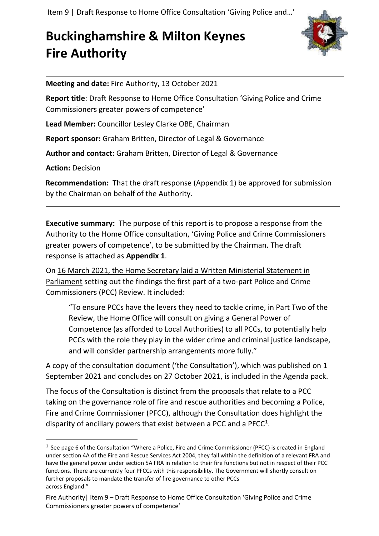Item 9 | Draft Response to Home Office Consultation 'Giving Police and…'

### **Buckinghamshire & Milton Keynes Fire Authority**



**Meeting and date:** Fire Authority, 13 October 2021

**Report title**: Draft Response to Home Office Consultation 'Giving Police and Crime Commissioners greater powers of competence'

**Lead Member:** Councillor Lesley Clarke OBE, Chairman

**Report sponsor:** Graham Britten, Director of Legal & Governance

**Author and contact:** Graham Britten, Director of Legal & Governance

**Action:** Decision

**Recommendation:** That the draft response (Appendix 1) be approved for submission by the Chairman on behalf of the Authority.

**Executive summary:** The purpose of this report is to propose a response from the Authority to the Home Office consultation, 'Giving Police and Crime Commissioners greater powers of competence', to be submitted by the Chairman. The draft response is attached as **Appendix 1**.

On [16 March 2021, the Home Secretary laid a Written Ministerial Statement in](https://questions-statements.parliament.uk/written-statements/detail/2021-03-16/hcws849)  [Parliament](https://questions-statements.parliament.uk/written-statements/detail/2021-03-16/hcws849) setting out the findings the first part of a two-part Police and Crime Commissioners (PCC) Review. It included:

"To ensure PCCs have the levers they need to tackle crime, in Part Two of the Review, the Home Office will consult on giving a General Power of Competence (as afforded to Local Authorities) to all PCCs, to potentially help PCCs with the role they play in the wider crime and criminal justice landscape, and will consider partnership arrangements more fully."

A copy of the consultation document ('the Consultation'), which was published on 1 September 2021 and concludes on 27 October 2021, is included in the Agenda pack.

The focus of the Consultation is distinct from the proposals that relate to a PCC taking on the governance role of fire and rescue authorities and becoming a Police, Fire and Crime Commissioner (PFCC), although the Consultation does highlight the disparity of ancillary powers that exist between a PCC and a PFCC $^1$ .

<sup>&</sup>lt;sup>1</sup> See page 6 of the Consultation "Where a Police, Fire and Crime Commissioner (PFCC) is created in England under section 4A of the Fire and Rescue Services Act 2004, they fall within the definition of a relevant FRA and have the general power under section 5A FRA in relation to their fire functions but not in respect of their PCC functions. There are currently four PFCCs with this responsibility. The Government will shortly consult on further proposals to mandate the transfer of fire governance to other PCCs across England."

Fire Authority| Item 9 – Draft Response to Home Office Consultation 'Giving Police and Crime Commissioners greater powers of competence'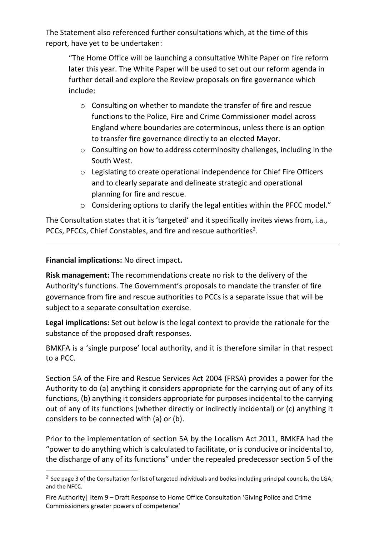The Statement also referenced further consultations which, at the time of this report, have yet to be undertaken:

"The Home Office will be launching a consultative White Paper on fire reform later this year. The White Paper will be used to set out our reform agenda in further detail and explore the Review proposals on fire governance which include:

- o Consulting on whether to mandate the transfer of fire and rescue functions to the Police, Fire and Crime Commissioner model across England where boundaries are coterminous, unless there is an option to transfer fire governance directly to an elected Mayor.
- $\circ$  Consulting on how to address coterminosity challenges, including in the South West.
- o Legislating to create operational independence for Chief Fire Officers and to clearly separate and delineate strategic and operational planning for fire and rescue.
- o Considering options to clarify the legal entities within the PFCC model."

The Consultation states that it is 'targeted' and it specifically invites views from, i.a., PCCs, PFCCs, Chief Constables, and fire and rescue authorities<sup>2</sup>.

**Financial implications:** No direct impact**.**

**Risk management:** The recommendations create no risk to the delivery of the Authority's functions. The Government's proposals to mandate the transfer of fire governance from fire and rescue authorities to PCCs is a separate issue that will be subject to a separate consultation exercise.

**Legal implications:** Set out below is the legal context to provide the rationale for the substance of the proposed draft responses.

BMKFA is a 'single purpose' local authority, and it is therefore similar in that respect to a PCC.

Section 5A of the Fire and Rescue Services Act 2004 (FRSA) provides a power for the Authority to do (a) anything it considers appropriate for the carrying out of any of its functions, (b) anything it considers appropriate for purposes incidental to the carrying out of any of its functions (whether directly or indirectly incidental) or (c) anything it considers to be connected with (a) or (b).

Prior to the implementation of section 5A by the Localism Act 2011, BMKFA had the "power to do anything which is calculated to facilitate, or is conducive or incidental to, the discharge of any of its functions" under the repealed predecessor section 5 of the

<sup>&</sup>lt;sup>2</sup> See page 3 of the Consultation for list of targeted individuals and bodies including principal councils, the LGA, and the NFCC.

Fire Authority| Item 9 – Draft Response to Home Office Consultation 'Giving Police and Crime Commissioners greater powers of competence'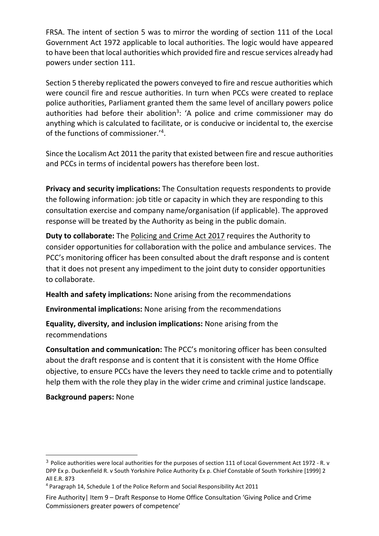FRSA. The intent of section 5 was to mirror the wording of section 111 of the Local Government Act 1972 applicable to local authorities. The logic would have appeared to have been that local authorities which provided fire and rescue services already had powers under section 111.

Section 5 thereby replicated the powers conveyed to fire and rescue authorities which were council fire and rescue authorities. In turn when PCCs were created to replace police authorities, Parliament granted them the same level of ancillary powers police authorities had before their abolition<sup>3</sup>: 'A police and crime commissioner may do anything which is calculated to facilitate, or is conducive or incidental to, the exercise of the functions of commissioner.'<sup>4</sup>.

Since the Localism Act 2011 the parity that existed between fire and rescue authorities and PCCs in terms of incidental powers has therefore been lost.

**Privacy and security implications:** The Consultation requests respondents to provide the following information: job title or capacity in which they are responding to this consultation exercise and company name/organisation (if applicable). The approved response will be treated by the Authority as being in the public domain.

**Duty to collaborate:** The [Policing and Crime Act 2017](http://www.legislation.gov.uk/ukpga/2017/3/section/2/enacted) requires the Authority to consider opportunities for collaboration with the police and ambulance services. The PCC's monitoring officer has been consulted about the draft response and is content that it does not present any impediment to the joint duty to consider opportunities to collaborate.

**Health and safety implications:** None arising from the recommendations

**Environmental implications:** None arising from the recommendations

**Equality, diversity, and inclusion implications:** None arising from the recommendations

**Consultation and communication:** The PCC's monitoring officer has been consulted about the draft response and is content that it is consistent with the Home Office objective, to ensure PCCs have the levers they need to tackle crime and to potentially help them with the role they play in the wider crime and criminal justice landscape.

### **Background papers:** None

<sup>&</sup>lt;sup>3</sup> Police authorities were local authorities for the purposes of section 111 of Local Government Act 1972 - R. v DPP Ex p. Duckenfield R. v South Yorkshire Police Authority Ex p. Chief Constable of South Yorkshire [1999] 2 All E.R. 873

<sup>4</sup> Paragraph 14, Schedule 1 of the Police Reform and Social Responsibility Act 2011

Fire Authority| Item 9 – Draft Response to Home Office Consultation 'Giving Police and Crime Commissioners greater powers of competence'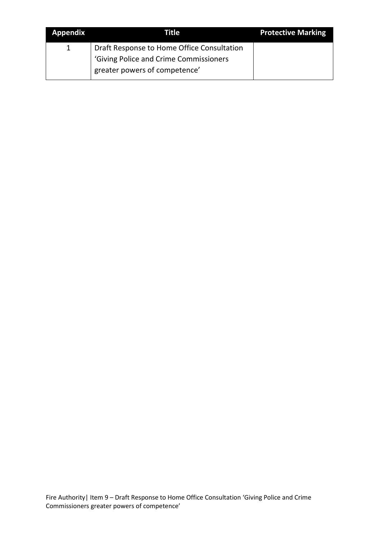| <b>Appendix</b> | Title                                                                   | <b>Protective Marking</b> |
|-----------------|-------------------------------------------------------------------------|---------------------------|
|                 | Draft Response to Home Office Consultation                              |                           |
|                 | 'Giving Police and Crime Commissioners<br>greater powers of competence' |                           |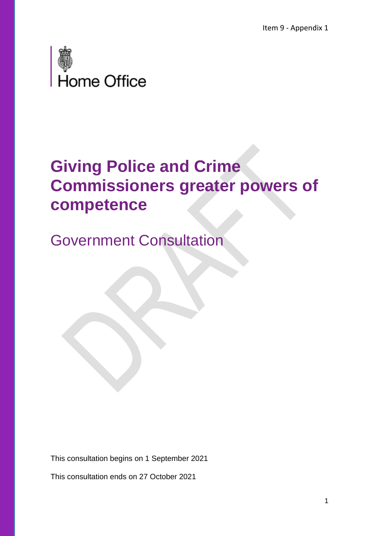

## **Giving Police and Crime Commissioners greater powers of competence**

Government Consultation

This consultation begins on 1 September 2021

This consultation ends on 27 October 2021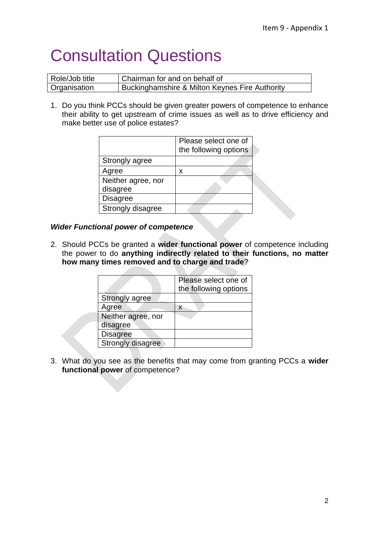# Consultation Questions

| Role/Job title      | Chairman for and on behalf of                  |  |
|---------------------|------------------------------------------------|--|
| <b>Organisation</b> | Buckinghamshire & Milton Keynes Fire Authority |  |

1. Do you think PCCs should be given greater powers of competence to enhance their ability to get upstream of crime issues as well as to drive efficiency and make better use of police estates?

|                    | Please select one of<br>the following options |
|--------------------|-----------------------------------------------|
| Strongly agree     |                                               |
| Agree              | x                                             |
| Neither agree, nor |                                               |
| disagree           |                                               |
| <b>Disagree</b>    |                                               |
| Strongly disagree  |                                               |

#### *Wider Functional power of competence*

2. Should PCCs be granted a **wider functional power** of competence including the power to do **anything indirectly related to their functions, no matter how many times removed and to charge and trade**?

|                    | Please select one of<br>the following options |
|--------------------|-----------------------------------------------|
| Strongly agree     |                                               |
| Agree              | x                                             |
| Neither agree, nor |                                               |
| disagree           |                                               |
| <b>Disagree</b>    |                                               |
| Strongly disagree  |                                               |

3. What do you see as the benefits that may come from granting PCCs a **wider functional power** of competence?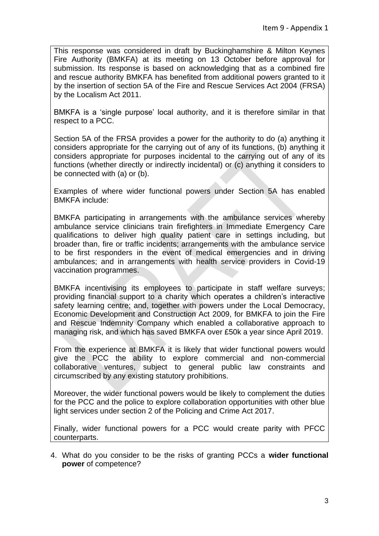This response was considered in draft by Buckinghamshire & Milton Keynes Fire Authority (BMKFA) at its meeting on 13 October before approval for submission. Its response is based on acknowledging that as a combined fire and rescue authority BMKFA has benefited from additional powers granted to it by the insertion of section 5A of the Fire and Rescue Services Act 2004 (FRSA) by the Localism Act 2011.

BMKFA is a 'single purpose' local authority, and it is therefore similar in that respect to a PCC.

Section 5A of the FRSA provides a power for the authority to do (a) anything it considers appropriate for the carrying out of any of its functions, (b) anything it considers appropriate for purposes incidental to the carrying out of any of its functions (whether directly or indirectly incidental) or (c) anything it considers to be connected with (a) or (b).

Examples of where wider functional powers under Section 5A has enabled BMKFA include:

BMKFA participating in arrangements with the ambulance services whereby ambulance service clinicians train firefighters in Immediate Emergency Care qualifications to deliver high quality patient care in settings including, but broader than, fire or traffic incidents; arrangements with the ambulance service to be first responders in the event of medical emergencies and in driving ambulances; and in arrangements with health service providers in Covid-19 vaccination programmes.

BMKFA incentivising its employees to participate in staff welfare surveys; providing financial support to a charity which operates a children's interactive safety learning centre; and, together with powers under the Local Democracy, Economic Development and Construction Act 2009, for BMKFA to join the Fire and Rescue Indemnity Company which enabled a collaborative approach to managing risk, and which has saved BMKFA over £50k a year since April 2019.

From the experience at BMKFA it is likely that wider functional powers would give the PCC the ability to explore commercial and non-commercial collaborative ventures, subject to general public law constraints and circumscribed by any existing statutory prohibitions.

Moreover, the wider functional powers would be likely to complement the duties for the PCC and the police to explore collaboration opportunities with other blue light services under section 2 of the Policing and Crime Act 2017.

Finally, wider functional powers for a PCC would create parity with PFCC counterparts.

4. What do you consider to be the risks of granting PCCs a **wider functional power** of competence?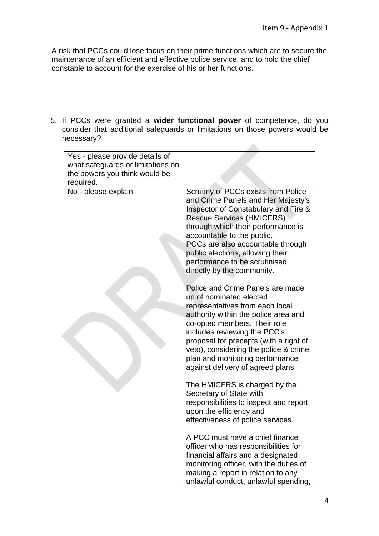$\mathcal{L}_{\mathcal{A}}$ 

A risk that PCCs could lose focus on their prime functions which are to secure the maintenance of an efficient and effective police service, and to hold the chief constable to account for the exercise of his or her functions.

5. If PCCs were granted a **wider functional power** of competence, do you consider that additional safeguards or limitations on those powers would be necessary?

| Yes - please provide details of   |                                                                                                                                                                                                                                                                                                                                                                   |
|-----------------------------------|-------------------------------------------------------------------------------------------------------------------------------------------------------------------------------------------------------------------------------------------------------------------------------------------------------------------------------------------------------------------|
| what safeguards or limitations on |                                                                                                                                                                                                                                                                                                                                                                   |
| the powers you think would be     |                                                                                                                                                                                                                                                                                                                                                                   |
| required.                         |                                                                                                                                                                                                                                                                                                                                                                   |
| No - please explain               | Scrutiny of PCCs exists from Police<br>and Crime Panels and Her Majesty's<br>Inspector of Constabulary and Fire &<br><b>Rescue Services (HMICFRS)</b><br>through which their performance is<br>accountable to the public.<br>PCCs are also accountable through<br>public elections, allowing their<br>performance to be scrutinised<br>directly by the community. |
|                                   | Police and Crime Panels are made<br>up of nominated elected<br>representatives from each local<br>authority within the police area and<br>co-opted members. Their role<br>includes reviewing the PCC's<br>proposal for precepts (with a right of<br>veto), considering the police & crime<br>plan and monitoring performance<br>against delivery of agreed plans. |
|                                   | The HMICFRS is charged by the<br>Secretary of State with<br>responsibilities to inspect and report<br>upon the efficiency and<br>effectiveness of police services.                                                                                                                                                                                                |
|                                   | A PCC must have a chief finance<br>officer who has responsibilities for<br>financial affairs and a designated<br>monitoring officer, with the duties of<br>making a report in relation to any<br>unlawful conduct, unlawful spending,                                                                                                                             |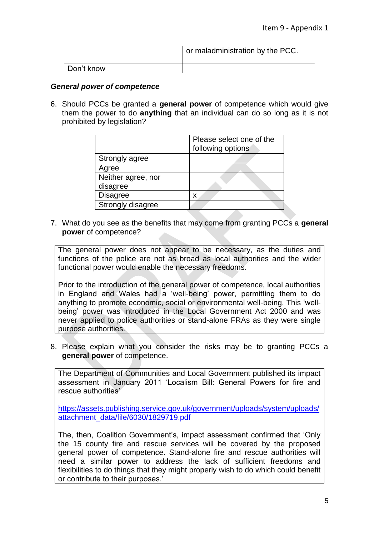|              | or maladministration by the PCC. |
|--------------|----------------------------------|
| ∣ Don't know |                                  |

#### *General power of competence*

6. Should PCCs be granted a **general power** of competence which would give them the power to do **anything** that an individual can do so long as it is not prohibited by legislation?

|                    | Please select one of the<br>following options |
|--------------------|-----------------------------------------------|
| Strongly agree     |                                               |
| Agree              |                                               |
| Neither agree, nor |                                               |
| disagree           |                                               |
| <b>Disagree</b>    | x                                             |
| Strongly disagree  |                                               |

7. What do you see as the benefits that may come from granting PCCs a **general power** of competence?

The general power does not appear to be necessary, as the duties and functions of the police are not as broad as local authorities and the wider functional power would enable the necessary freedoms.

Prior to the introduction of the general power of competence, local authorities in England and Wales had a 'well-being' power, permitting them to do anything to promote economic, social or environmental well-being. This 'wellbeing' power was introduced in the Local Government Act 2000 and was never applied to police authorities or stand-alone FRAs as they were single purpose authorities.

8. Please explain what you consider the risks may be to granting PCCs a **general power** of competence.

The Department of Communities and Local Government published its impact assessment in January 2011 'Localism Bill: General Powers for fire and rescue authorities'

[https://assets.publishing.service.gov.uk/government/uploads/system/uploads/](https://assets.publishing.service.gov.uk/government/uploads/system/uploads/attachment_data/file/6030/1829719.pdf) [attachment\\_data/file/6030/1829719.pdf](https://assets.publishing.service.gov.uk/government/uploads/system/uploads/attachment_data/file/6030/1829719.pdf)

The, then, Coalition Government's, impact assessment confirmed that 'Only the 15 county fire and rescue services will be covered by the proposed general power of competence. Stand-alone fire and rescue authorities will need a similar power to address the lack of sufficient freedoms and flexibilities to do things that they might properly wish to do which could benefit or contribute to their purposes.'